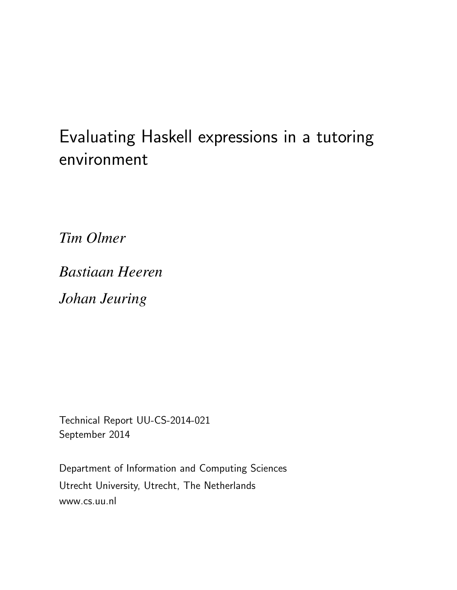# Evaluating Haskell expressions in a tutoring environment

*Tim Olmer*

*Bastiaan Heeren*

*Johan Jeuring*

Technical Report UU-CS-2014-021 September 2014

Department of Information and Computing Sciences Utrecht University, Utrecht, The Netherlands www.cs.uu.nl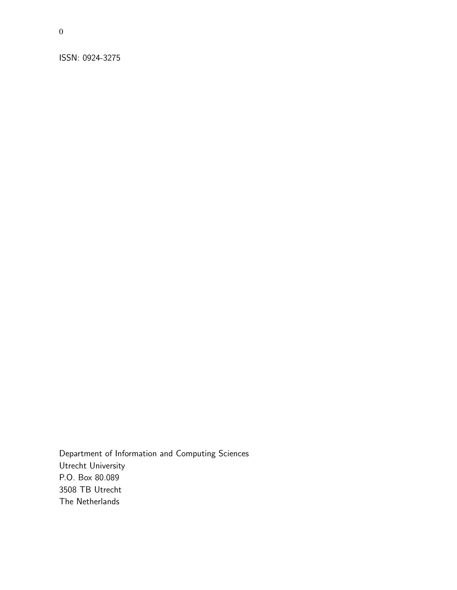ISSN: 0924-3275

Department of Information and Computing Sciences Utrecht University P.O. Box 80.089 3508 TB Utrecht The Netherlands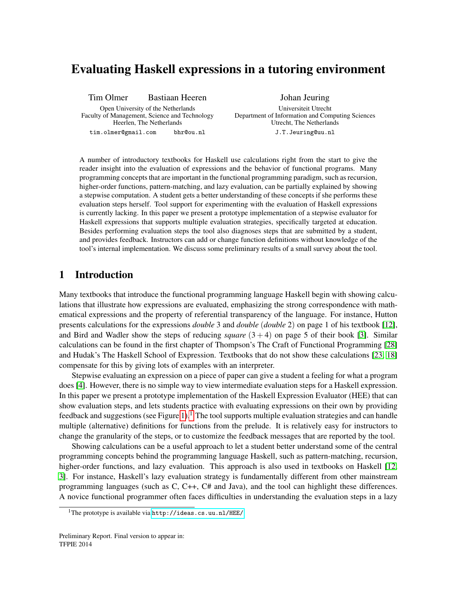## Evaluating Haskell expressions in a tutoring environment

Tim Olmer Bastiaan Heeren Open University of the Netherlands Faculty of Management, Science and Technology Heerlen, The Netherlands tim.olmer@gmail.com bhr@ou.nl

Johan Jeuring Universiteit Utrecht Department of Information and Computing Sciences Utrecht, The Netherlands

J.T.Jeuring@uu.nl

A number of introductory textbooks for Haskell use calculations right from the start to give the reader insight into the evaluation of expressions and the behavior of functional programs. Many programming concepts that are important in the functional programming paradigm, such as recursion, higher-order functions, pattern-matching, and lazy evaluation, can be partially explained by showing a stepwise computation. A student gets a better understanding of these concepts if she performs these evaluation steps herself. Tool support for experimenting with the evaluation of Haskell expressions is currently lacking. In this paper we present a prototype implementation of a stepwise evaluator for Haskell expressions that supports multiple evaluation strategies, specifically targeted at education. Besides performing evaluation steps the tool also diagnoses steps that are submitted by a student, and provides feedback. Instructors can add or change function definitions without knowledge of the tool's internal implementation. We discuss some preliminary results of a small survey about the tool.

## 1 Introduction

Many textbooks that introduce the functional programming language Haskell begin with showing calculations that illustrate how expressions are evaluated, emphasizing the strong correspondence with mathematical expressions and the property of referential transparency of the language. For instance, Hutton presents calculations for the expressions *double* 3 and *double* (*double* 2) on page 1 of his textbook [\[12\]](#page-16-0), and Bird and Wadler show the steps of reducing *square*  $(3+4)$  on page 5 of their book [\[3\]](#page-16-1). Similar calculations can be found in the first chapter of Thompson's The Craft of Functional Programming [\[28\]](#page-17-0) and Hudak's The Haskell School of Expression. Textbooks that do not show these calculations [\[23,](#page-17-1) [18\]](#page-17-2) compensate for this by giving lots of examples with an interpreter.

Stepwise evaluating an expression on a piece of paper can give a student a feeling for what a program does [\[4\]](#page-16-2). However, there is no simple way to view intermediate evaluation steps for a Haskell expression. In this paper we present a prototype implementation of the Haskell Expression Evaluator (HEE) that can show evaluation steps, and lets students practice with evaluating expressions on their own by providing feedback and suggestions (see Figure [1\)](#page-3-0).<sup>[1](#page-2-0)</sup> The tool supports multiple evaluation strategies and can handle multiple (alternative) definitions for functions from the prelude. It is relatively easy for instructors to change the granularity of the steps, or to customize the feedback messages that are reported by the tool.

Showing calculations can be a useful approach to let a student better understand some of the central programming concepts behind the programming language Haskell, such as pattern-matching, recursion, higher-order functions, and lazy evaluation. This approach is also used in textbooks on Haskell [\[12,](#page-16-0) [3\]](#page-16-1). For instance, Haskell's lazy evaluation strategy is fundamentally different from other mainstream programming languages (such as C, C++, C# and Java), and the tool can highlight these differences. A novice functional programmer often faces difficulties in understanding the evaluation steps in a lazy

<span id="page-2-0"></span><sup>&</sup>lt;sup>1</sup>The prototype is available via <http://ideas.cs.uu.nl/HEE/>.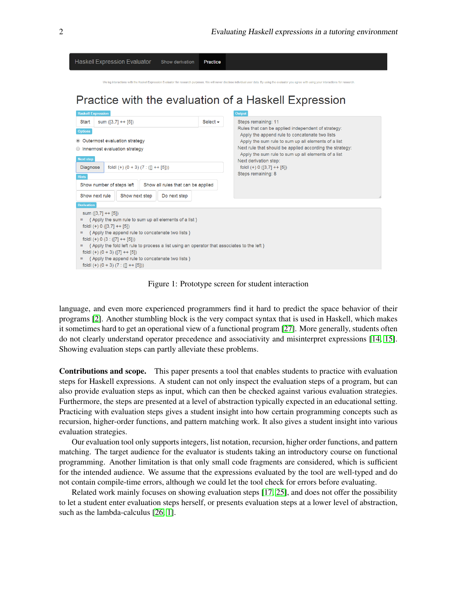| <b>Haskell Expression Evaluator</b><br>Show derivation                                                                                                                                                                                                                                                                                                                                                                                                                                                                                  | Practice                                                                                                                                                                                                                                                                                                                                                                                                                    |  |  |  |
|-----------------------------------------------------------------------------------------------------------------------------------------------------------------------------------------------------------------------------------------------------------------------------------------------------------------------------------------------------------------------------------------------------------------------------------------------------------------------------------------------------------------------------------------|-----------------------------------------------------------------------------------------------------------------------------------------------------------------------------------------------------------------------------------------------------------------------------------------------------------------------------------------------------------------------------------------------------------------------------|--|--|--|
| We log interactions with the Haskell Expression Evaluator for research purposes. We will never disclose individual user data. By using the evaluator you agree with using your interactions for research.<br>Practice with the evaluation of a Haskell Expression                                                                                                                                                                                                                                                                       |                                                                                                                                                                                                                                                                                                                                                                                                                             |  |  |  |
| <b>Haskell Expression</b><br>sum $([3,7] + [5])$<br>Start<br><b>Options</b><br>• Outermost evaluation strategy<br>◯ Innermost evaluation strategy<br><b>Next step</b><br>foldl $(+)$ $(0 + 3)$ $(7 : (1 + 5)$<br>Diagnose<br><b>Hints</b><br>Show number of steps left<br>Show all rules that can be applied                                                                                                                                                                                                                            | <b>Output</b><br>Steps remaining: 11<br>Select $\sim$<br>Rules that can be applied independent of strategy:<br>Apply the append rule to concatenate two lists<br>Apply the sum rule to sum up all elements of a list<br>Next rule that should be applied according the strategy:<br>Apply the sum rule to sum up all elements of a list<br>Next derivation step:<br>foldl $(+)$ 0 $([3,7]$ ++ $[5]$ )<br>Steps remaining: 8 |  |  |  |
| Show next rule<br>Show next step<br>Do next step<br><b>Derivation</b><br>sum $([3,7] + + [5])$<br>$=$ {Apply the sum rule to sum up all elements of a list }<br>foldl $(+)$ 0 $([3,7]$ + + $[5]$ )<br>{ Apply the append rule to concatenate two lists }<br>foldl $(+) 0 (3 : ([7] + [5]))$<br>= { Apply the fold left rule to process a list using an operator that associates to the left }<br>foldl $(+)$ $(0 + 3)$ $([7] + + [5])$<br>= { Apply the append rule to concatenate two lists }<br>fold $(+)$ $(0 + 3)$ $(7 : (1 + 15))$ |                                                                                                                                                                                                                                                                                                                                                                                                                             |  |  |  |

<span id="page-3-0"></span>Figure 1: Prototype screen for student interaction

language, and even more experienced programmers find it hard to predict the space behavior of their programs [\[2\]](#page-16-3). Another stumbling block is the very compact syntax that is used in Haskell, which makes it sometimes hard to get an operational view of a functional program [\[27\]](#page-17-3). More generally, students often do not clearly understand operator precedence and associativity and misinterpret expressions [\[14,](#page-16-4) [15\]](#page-17-4). Showing evaluation steps can partly alleviate these problems.

Contributions and scope. This paper presents a tool that enables students to practice with evaluation steps for Haskell expressions. A student can not only inspect the evaluation steps of a program, but can also provide evaluation steps as input, which can then be checked against various evaluation strategies. Furthermore, the steps are presented at a level of abstraction typically expected in an educational setting. Practicing with evaluation steps gives a student insight into how certain programming concepts such as recursion, higher-order functions, and pattern matching work. It also gives a student insight into various evaluation strategies.

Our evaluation tool only supports integers, list notation, recursion, higher order functions, and pattern matching. The target audience for the evaluator is students taking an introductory course on functional programming. Another limitation is that only small code fragments are considered, which is sufficient for the intended audience. We assume that the expressions evaluated by the tool are well-typed and do not contain compile-time errors, although we could let the tool check for errors before evaluating.

Related work mainly focuses on showing evaluation steps [\[17,](#page-17-5) [25\]](#page-17-6), and does not offer the possibility to let a student enter evaluation steps herself, or presents evaluation steps at a lower level of abstraction, such as the lambda-calculus [\[26,](#page-17-7) [1\]](#page-16-5).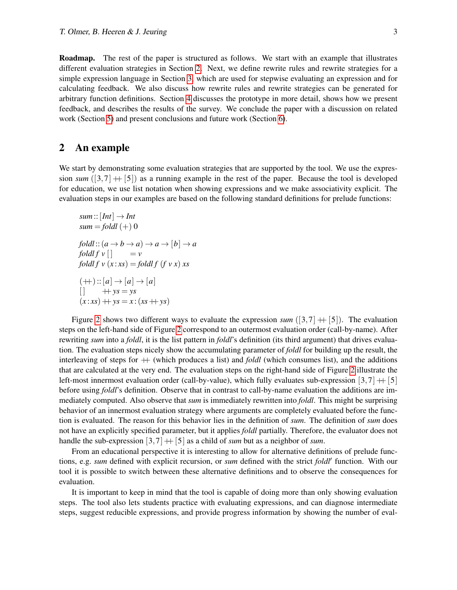Roadmap. The rest of the paper is structured as follows. We start with an example that illustrates different evaluation strategies in Section [2.](#page-4-0) Next, we define rewrite rules and rewrite strategies for a simple expression language in Section [3,](#page-5-0) which are used for stepwise evaluating an expression and for calculating feedback. We also discuss how rewrite rules and rewrite strategies can be generated for arbitrary function definitions. Section [4](#page-12-0) discusses the prototype in more detail, shows how we present feedback, and describes the results of the survey. We conclude the paper with a discussion on related work (Section [5\)](#page-14-0) and present conclusions and future work (Section [6\)](#page-15-0).

## <span id="page-4-0"></span>2 An example

We start by demonstrating some evaluation strategies that are supported by the tool. We use the expression *sum*  $([3,7] + [5])$  as a running example in the rest of the paper. Because the tool is developed for education, we use list notation when showing expressions and we make associativity explicit. The evaluation steps in our examples are based on the following standard definitions for prelude functions:

```
sum::[Int] \rightarrow Intsum = fold(+) 0fold::(a \rightarrow b \rightarrow a) \rightarrow a \rightarrow [b] \rightarrow afoldl f v \vert = vfoldl f v(x:xs) = foldl f (f v x) xs
(+)\colon a]\to [a]\to [a]\begin{array}{ccc} \n \begin{array}{ccc} \n & + & ys = ys \n \end{array} \n \end{array}(x:xs) + ys = x: (xs + ys)
```
Figure [2](#page-5-1) shows two different ways to evaluate the expression  $sum$  ([3,7]  $+$  [5]). The evaluation steps on the left-hand side of Figure [2](#page-5-1) correspond to an outermost evaluation order (call-by-name). After rewriting *sum* into a *foldl*, it is the list pattern in *foldl*'s definition (its third argument) that drives evaluation. The evaluation steps nicely show the accumulating parameter of *foldl* for building up the result, the interleaving of steps for  $+$  (which produces a list) and *foldl* (which consumes list), and the additions that are calculated at the very end. The evaluation steps on the right-hand side of Figure [2](#page-5-1) illustrate the left-most innermost evaluation order (call-by-value), which fully evaluates sub-expression  $\lceil 3, 7 \rceil + \lceil 5 \rceil$ before using *foldl*'s definition. Observe that in contrast to call-by-name evaluation the additions are immediately computed. Also observe that *sum* is immediately rewritten into *foldl*. This might be surprising behavior of an innermost evaluation strategy where arguments are completely evaluated before the function is evaluated. The reason for this behavior lies in the definition of *sum*. The definition of *sum* does not have an explicitly specified parameter, but it applies *foldl* partially. Therefore, the evaluator does not handle the sub-expression [3,7] ++[5] as a child of *sum* but as a neighbor of *sum*.

From an educational perspective it is interesting to allow for alternative definitions of prelude functions, e.g. *sum* defined with explicit recursion, or *sum* defined with the strict *foldl'* function. With our tool it is possible to switch between these alternative definitions and to observe the consequences for evaluation.

It is important to keep in mind that the tool is capable of doing more than only showing evaluation steps. The tool also lets students practice with evaluating expressions, and can diagnose intermediate steps, suggest reducible expressions, and provide progress information by showing the number of eval-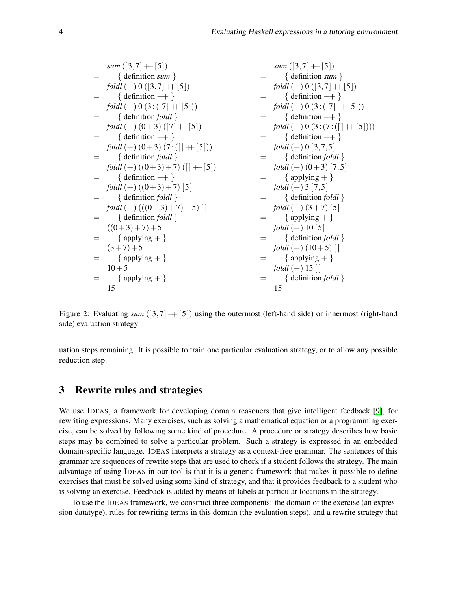$$
sum ([3,7] + [5])
$$
\n
$$
= {delinition sum}
$$
\n
$$
fold (+) 0 (3,7] + [5])
$$
\n
$$
= {delinition +}
$$
\n
$$
fold (+) 0 (3; (7] + [5])
$$
\n
$$
= {delinition
$$
\n
$$
fold (+) 0 (3; (7] + [5])
$$
\n
$$
= {delinition
$$
\n
$$
fold (+) (0 + 3) (7] + [5])
$$
\n
$$
= {delinition +}
$$
\n
$$
field (+) (0 + 3) (7] + [5])
$$
\n
$$
= {delinition +}
$$
\n
$$
field (+) (0 + 3) (7) : ([] + [5])
$$
\n
$$
= {delinition
$$
\n
$$
field (+) (0 + 3) (7) : ([] + [5])
$$
\n
$$
= {delinition
$$
\n
$$
field (+) (0 + 3) + 7) (1] + [5])
$$
\n
$$
= {delinition
$$
\n
$$
field (+) (0 + 3) + 7) (1] + [5])
$$
\n
$$
= {delinition
$$
\n
$$
field (+) (0 + 3) + 7) [5]
$$
\n
$$
= {delinition
$$
\n
$$
field (+) (0 + 3) + 7) + 5 ] ]
$$
\n
$$
= {delinition
$$
\n
$$
field (+) (3) (7,5]
$$
\n
$$
= {delinition
$$
\n
$$
field 1 (0) (3,7,5]
$$
\n
$$
= {delinition
$$
\n
$$
field 1 (0) (3; (7) + [1)]
$$
\n
$$
field 1 (0) (3; (7) + [1)]
$$
\n
$$
field 1 (0) (3; (7) + [1)]
$$
\n
$$
field 1 (0) (3; (7) + [1)]
$$
\n
$$
field 1 (0) (3; (7) + [1)]
$$
\n
$$
field 1 (0) (3; (7) + [1)]
$$
\n
$$
field 1 (0) (3; (8) + 7) + [1] ]
$$
\n
$$
field 1 (0) (3; (9) +
$$

<span id="page-5-1"></span>Figure 2: Evaluating  $sum([3,7] + [5])$  using the outermost (left-hand side) or innermost (right-hand side) evaluation strategy

uation steps remaining. It is possible to train one particular evaluation strategy, or to allow any possible reduction step.

## <span id="page-5-0"></span>3 Rewrite rules and strategies

We use IDEAS, a framework for developing domain reasoners that give intelligent feedback [\[9\]](#page-16-6), for rewriting expressions. Many exercises, such as solving a mathematical equation or a programming exercise, can be solved by following some kind of procedure. A procedure or strategy describes how basic steps may be combined to solve a particular problem. Such a strategy is expressed in an embedded domain-specific language. IDEAS interprets a strategy as a context-free grammar. The sentences of this grammar are sequences of rewrite steps that are used to check if a student follows the strategy. The main advantage of using IDEAS in our tool is that it is a generic framework that makes it possible to define exercises that must be solved using some kind of strategy, and that it provides feedback to a student who is solving an exercise. Feedback is added by means of labels at particular locations in the strategy.

To use the IDEAS framework, we construct three components: the domain of the exercise (an expression datatype), rules for rewriting terms in this domain (the evaluation steps), and a rewrite strategy that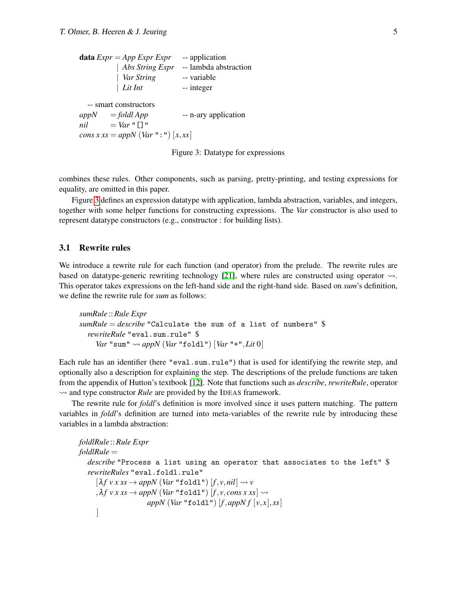data *Expr* = *App Expr Expr* -- application | *Abs String Expr* -- lambda abstraction | *Var String* -- variable | *Lit Int* -- integer -- smart constructors  $appN = fold App$  -- n-ary application  $nil \qquad = Var \cdot \lceil \rceil$ " *cons x xs* = *appN* (*Var* ":")  $[x, xs]$ 

<span id="page-6-0"></span>Figure 3: Datatype for expressions

combines these rules. Other components, such as parsing, pretty-printing, and testing expressions for equality, are omitted in this paper.

Figure [3](#page-6-0) defines an expression datatype with application, lambda abstraction, variables, and integers, together with some helper functions for constructing expressions. The *Var* constructor is also used to represent datatype constructors (e.g., constructor : for building lists).

#### <span id="page-6-1"></span>3.1 Rewrite rules

We introduce a rewrite rule for each function (and operator) from the prelude. The rewrite rules are based on datatype-generic rewriting technology [\[21\]](#page-17-8), where rules are constructed using operator  $\rightarrow$ . This operator takes expressions on the left-hand side and the right-hand side. Based on *sum*'s definition, we define the rewrite rule for *sum* as follows:

```
sumRule ::Rule Expr
sumRule = describe "Calculate the sum of a list of numbers" $
  rewriteRule "eval.sum.rule" $
    Var "sum" \rightsquigarrow appN (Var "foldl") [Var "+",Lit 0]
```
Each rule has an identifier (here "eval.sum.rule") that is used for identifying the rewrite step, and optionally also a description for explaining the step. The descriptions of the prelude functions are taken from the appendix of Hutton's textbook [\[12\]](#page-16-0). Note that functions such as *describe*, *rewriteRule*, operator  $\rightarrow$  and type constructor *Rule* are provided by the IDEAS framework.

The rewrite rule for *foldl*'s definition is more involved since it uses pattern matching. The pattern variables in *foldl*'s definition are turned into meta-variables of the rewrite rule by introducing these variables in a lambda abstraction:

```
foldlRule ::Rule Expr
foldlRule =
   describe "Process a list using an operator that associates to the left" $
   rewriteRules "eval.foldl.rule"
      [\lambda f \, v \, x \, xs \rightarrow appN \, (Var \text{ "foldl"}) [f, v, nil] \rightsquigarrow v\lambdaf v x x s \rightarrow appN (Var "foldl") [f, v, cons x x s] \rightsquigarrowappN (Var "foldl") [f, appNf[v, x], xs]]
```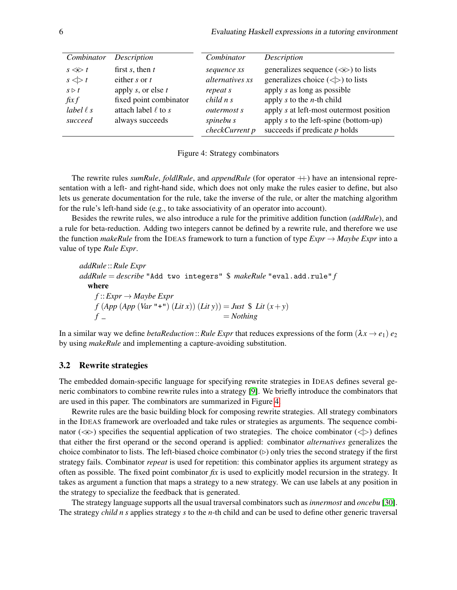| Combinator             | Description              | Combinator         | Description                                     |
|------------------------|--------------------------|--------------------|-------------------------------------------------|
| $s \ll t$              | first $s$ , then $t$     | sequence xs        | generalizes sequence $(\llgtrless)$ to lists    |
| $s \Leftrightarrow t$  | either s or $t_1$        | alternatives xs    | generalizes choice $(\Leftrightarrow)$ to lists |
| $s \triangleright t$   | apply $s$ , or else $t$  | repeat s           | apply s as long as possible                     |
| $\operatorname{fix} f$ | fixed point combinator   | $child$ n s        | apply $s$ to the $n$ -th child                  |
| label $\ell$ s         | attach label $\ell$ to s | <i>outermost s</i> | apply s at left-most outermost position         |
| succeed                | always succeeds          | spinebu s          | apply $s$ to the left-spine (bottom-up)         |
|                        |                          | checkCurrent p     | succeeds if predicate $p$ holds                 |

<span id="page-7-0"></span>Figure 4: Strategy combinators

The rewrite rules *sumRule*, *foldlRule*, and *appendRule* (for operator  $+$ ) have an intensional representation with a left- and right-hand side, which does not only make the rules easier to define, but also lets us generate documentation for the rule, take the inverse of the rule, or alter the matching algorithm for the rule's left-hand side (e.g., to take associativity of an operator into account).

Besides the rewrite rules, we also introduce a rule for the primitive addition function (*addRule*), and a rule for beta-reduction. Adding two integers cannot be defined by a rewrite rule, and therefore we use the function *makeRule* from the IDEAS framework to turn a function of type  $\text{Expr} \rightarrow \text{Maybe}$  *Expr* into a value of type *Rule Expr*.

*addRule* ::*Rule Expr addRule* = *describe* "Add two integers" \$ *makeRule* "eval.add.rule" *f* where *f* ::*Expr* → *Maybe Expr f* (*App* (*App* (*Var* "+") (*Lit x*)) (*Lit y*)) = *Just* \$ *Lit* (*x*+*y*)  $f = \text{Nothing}$ 

In a similar way we define *betaReduction* :: *Rule Expr* that reduces expressions of the form  $(\lambda x \rightarrow e_1) e_2$ by using *makeRule* and implementing a capture-avoiding substitution.

#### 3.2 Rewrite strategies

The embedded domain-specific language for specifying rewrite strategies in IDEAS defines several generic combinators to combine rewrite rules into a strategy [\[9\]](#page-16-6). We briefly introduce the combinators that are used in this paper. The combinators are summarized in Figure [4.](#page-7-0)

Rewrite rules are the basic building block for composing rewrite strategies. All strategy combinators in the IDEAS framework are overloaded and take rules or strategies as arguments. The sequence combinator ( $\ll$ ) specifies the sequential application of two strategies. The choice combinator ( $\ll$ ) defines that either the first operand or the second operand is applied: combinator *alternatives* generalizes the choice combinator to lists. The left-biased choice combinator  $(\triangleright)$  only tries the second strategy if the first strategy fails. Combinator *repeat* is used for repetition: this combinator applies its argument strategy as often as possible. The fixed point combinator *fix* is used to explicitly model recursion in the strategy. It takes as argument a function that maps a strategy to a new strategy. We can use labels at any position in the strategy to specialize the feedback that is generated.

The strategy language supports all the usual traversal combinators such as*innermost* and *oncebu* [\[30\]](#page-17-9). The strategy *child n s* applies strategy *s* to the *n*-th child and can be used to define other generic traversal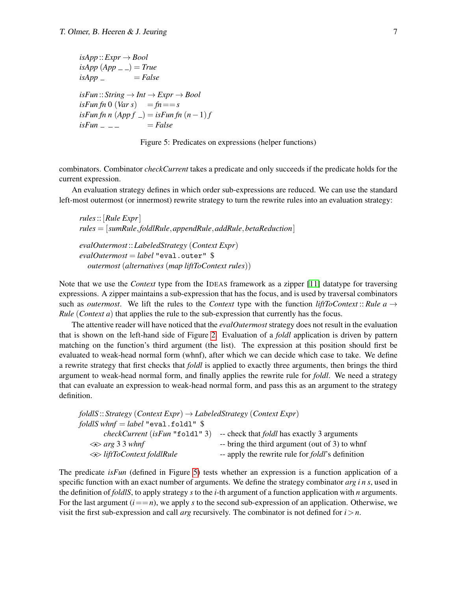```
isApp::Expr \rightarrow BoolisApp (App \_ ) = TrueisApp = FalseisFun::String \rightarrow Int \rightarrow Expert \rightarrow BoolisFun \; \mathit{fn} \; 0 \; (Var \; s) = \mathit{fn} == sisFunfn n (App f = isFunfn (n-1) fisFun_{--} = False
```
<span id="page-8-0"></span>

combinators. Combinator *checkCurrent* takes a predicate and only succeeds if the predicate holds for the current expression.

An evaluation strategy defines in which order sub-expressions are reduced. We can use the standard left-most outermost (or innermost) rewrite strategy to turn the rewrite rules into an evaluation strategy:

*rules*::[*Rule Expr*] *rules* = [*sumRule*,*foldlRule*,*appendRule*,*addRule*,*betaReduction*] *evalOutermost* ::*LabeledStrategy* (*Context Expr*) *evalOutermost* = *label* "eval.outer" \$ *outermost* (*alternatives* (*map liftToContext rules*))

Note that we use the *Context* type from the IDEAS framework as a zipper [\[11\]](#page-16-7) datatype for traversing expressions. A zipper maintains a sub-expression that has the focus, and is used by traversal combinators such as *outermost*. We lift the rules to the *Context* type with the function *liftToContext* :: *Rule a*  $\rightarrow$ *Rule* (*Context a*) that applies the rule to the sub-expression that currently has the focus.

The attentive reader will have noticed that the *evalOutermost* strategy does not result in the evaluation that is shown on the left-hand side of Figure [2.](#page-5-1) Evaluation of a *foldl* application is driven by pattern matching on the function's third argument (the list). The expression at this position should first be evaluated to weak-head normal form (whnf), after which we can decide which case to take. We define a rewrite strategy that first checks that *foldl* is applied to exactly three arguments, then brings the third argument to weak-head normal form, and finally applies the rewrite rule for *foldl*. We need a strategy that can evaluate an expression to weak-head normal form, and pass this as an argument to the strategy definition.

| foldlS:: Strategy (Context Expr) $\rightarrow$ LabeledStrategy (Context Expr) |                                                          |  |  |  |
|-------------------------------------------------------------------------------|----------------------------------------------------------|--|--|--|
| foldlS whnf = label "eval.foldl" $\$                                          |                                                          |  |  |  |
| checkCurrent (isFun "fold1" 3)                                                | -- check that <i>foldl</i> has exactly 3 arguments       |  |  |  |
| $\Leftrightarrow$ arg 3 3 whnf                                                | -- bring the third argument (out of 3) to whnf           |  |  |  |
| $\Leftrightarrow$ liftToContext foldlRule                                     | -- apply the rewrite rule for <i>foldl</i> 's definition |  |  |  |

The predicate *isFun* (defined in Figure [5\)](#page-8-0) tests whether an expression is a function application of a specific function with an exact number of arguments. We define the strategy combinator *arg i n s*, used in the definition of *foldlS*, to apply strategy *s* to the *i*-th argument of a function application with *n* arguments. For the last argument  $(i == n)$ , we apply *s* to the second sub-expression of an application. Otherwise, we visit the first sub-expression and call *arg* recursively. The combinator is not defined for *i*>*n*.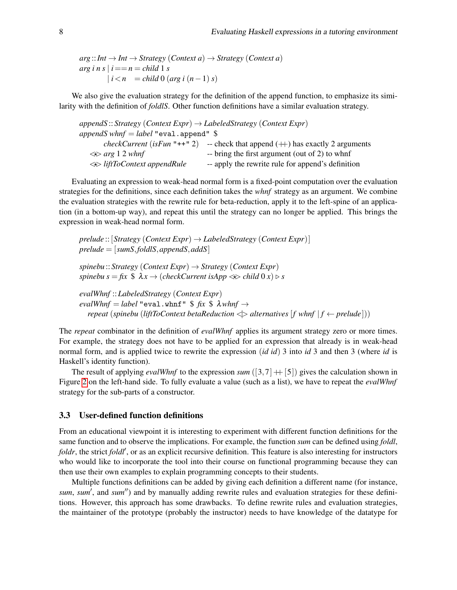$arg$  ::*Int*  $\rightarrow$  *Int*  $\rightarrow$  *Strategy* (*Context a*)  $\rightarrow$  *Strategy* (*Context a*)  $arg i n s$   $i == n = child 1 s$  $\vert i \, < n \vert$  = *child* 0 (*arg i* (*n* − 1) *s*)

We also give the evaluation strategy for the definition of the append function, to emphasize its similarity with the definition of *foldlS*. Other function definitions have a similar evaluation strategy.

*appendS* :: *Strategy* (*Context Expr*) → *LabeledStrategy* (*Context Expr*) *appendS whnf* = *label* "eval.append" \$ *checkCurrent* ( $i$ *sFun* "++" 2) -- check that append ( $+$ ) has exactly 2 arguments  $\iff$  *arg* 1 2 *whnf* -- bring the first argument (out of 2) to whnf <?> *liftToContext appendRule* -- apply the rewrite rule for append's definition

Evaluating an expression to weak-head normal form is a fixed-point computation over the evaluation strategies for the definitions, since each definition takes the *whnf* strategy as an argument. We combine the evaluation strategies with the rewrite rule for beta-reduction, apply it to the left-spine of an application (in a bottom-up way), and repeat this until the strategy can no longer be applied. This brings the expression in weak-head normal form.

*prelude* ::[*Strategy* (*Context Expr*) → *LabeledStrategy* (*Context Expr*)] *prelude* = [*sumS*,*foldlS*,*appendS*,*addS*] *spinebu* :: *Strategy* (*Context Expr*) → *Strategy* (*Context Expr*) *spinebu s* =  $fix \$ \ \lambda x \rightarrow (checkCurrent \ isApp \ \lll \ \text{child } 0 \ x) \triangleright s$ *evalWhnf* ::*LabeledStrategy* (*Context Expr*)  $evalWhnf = label$  "eval.whnf" \$  $fix$  \$  $\lambda whnf \rightarrow$ *repeat* (*spinebu* (*liftToContext betaReduction*  $\langle \rangle$  *alternatives* [*f whnf*  $|f \leftarrow$  *prelude*]))

The *repeat* combinator in the definition of *evalWhnf* applies its argument strategy zero or more times. For example, the strategy does not have to be applied for an expression that already is in weak-head normal form, and is applied twice to rewrite the expression (*id id*) 3 into *id* 3 and then 3 (where *id* is Haskell's identity function).

The result of applying *evalWhnf* to the expression *sum* ([3,7]  $+$  [5]) gives the calculation shown in Figure [2](#page-5-1) on the left-hand side. To fully evaluate a value (such as a list), we have to repeat the *evalWhnf* strategy for the sub-parts of a constructor.

#### 3.3 User-defined function definitions

From an educational viewpoint it is interesting to experiment with different function definitions for the same function and to observe the implications. For example, the function *sum* can be defined using *foldl*, *foldr*, the strict *foldl'*, or as an explicit recursive definition. This feature is also interesting for instructors who would like to incorporate the tool into their course on functional programming because they can then use their own examples to explain programming concepts to their students.

Multiple functions definitions can be added by giving each definition a different name (for instance, sum, sum', and sum'') and by manually adding rewrite rules and evaluation strategies for these definitions. However, this approach has some drawbacks. To define rewrite rules and evaluation strategies, the maintainer of the prototype (probably the instructor) needs to have knowledge of the datatype for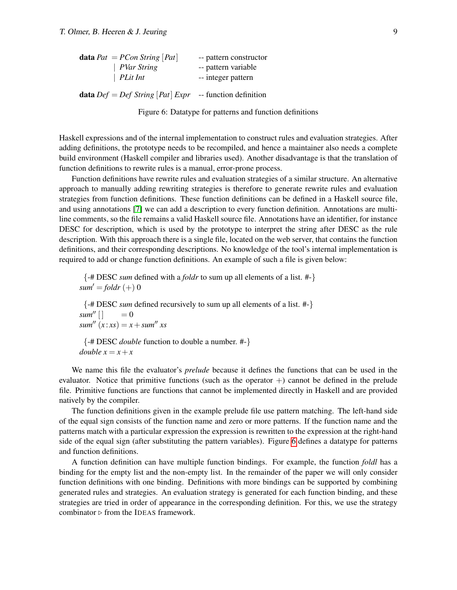| <b>data</b> $Pat = PCon String [Pat]$ | -- pattern constructor |
|---------------------------------------|------------------------|
| $\vert$ PVar String                   | -- pattern variable    |
| $Plit Int$                            | -- integer pattern     |

**data**  $Def = Def$  *String*  $[Pat]$  *Expr* -- function definition

<span id="page-10-0"></span>Figure 6: Datatype for patterns and function definitions

Haskell expressions and of the internal implementation to construct rules and evaluation strategies. After adding definitions, the prototype needs to be recompiled, and hence a maintainer also needs a complete build environment (Haskell compiler and libraries used). Another disadvantage is that the translation of function definitions to rewrite rules is a manual, error-prone process.

Function definitions have rewrite rules and evaluation strategies of a similar structure. An alternative approach to manually adding rewriting strategies is therefore to generate rewrite rules and evaluation strategies from function definitions. These function definitions can be defined in a Haskell source file, and using annotations [\[7\]](#page-16-8) we can add a description to every function definition. Annotations are multiline comments, so the file remains a valid Haskell source file. Annotations have an identifier, for instance DESC for description, which is used by the prototype to interpret the string after DESC as the rule description. With this approach there is a single file, located on the web server, that contains the function definitions, and their corresponding descriptions. No knowledge of the tool's internal implementation is required to add or change function definitions. An example of such a file is given below:

{-# DESC *sum* defined with a *foldr* to sum up all elements of a list. #-}  $sum' = foldr (+) 0$ 

{-# DESC *sum* defined recursively to sum up all elements of a list. #-} *sum*"  $|$  = 0  $sum''(x:xs) = x + sum'' xs$ 

{-# DESC *double* function to double a number. #-} *double*  $x = x + x$ 

We name this file the evaluator's *prelude* because it defines the functions that can be used in the evaluator. Notice that primitive functions (such as the operator  $+)$  cannot be defined in the prelude file. Primitive functions are functions that cannot be implemented directly in Haskell and are provided natively by the compiler.

The function definitions given in the example prelude file use pattern matching. The left-hand side of the equal sign consists of the function name and zero or more patterns. If the function name and the patterns match with a particular expression the expression is rewritten to the expression at the right-hand side of the equal sign (after substituting the pattern variables). Figure [6](#page-10-0) defines a datatype for patterns and function definitions.

A function definition can have multiple function bindings. For example, the function *foldl* has a binding for the empty list and the non-empty list. In the remainder of the paper we will only consider function definitions with one binding. Definitions with more bindings can be supported by combining generated rules and strategies. An evaluation strategy is generated for each function binding, and these strategies are tried in order of appearance in the corresponding definition. For this, we use the strategy combinator  $\triangleright$  from the IDEAS framework.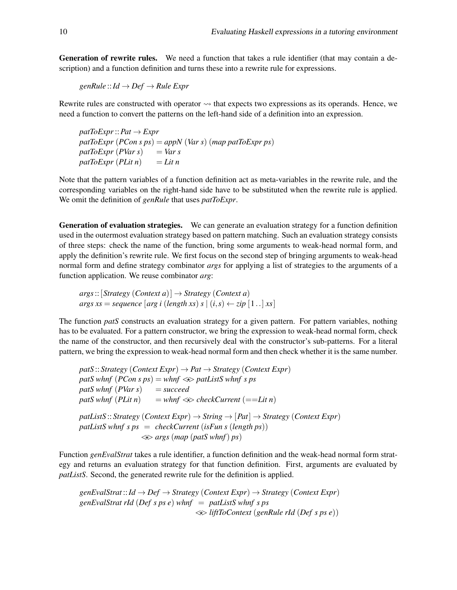Generation of rewrite rules. We need a function that takes a rule identifier (that may contain a description) and a function definition and turns these into a rewrite rule for expressions.

*genRule* ::*Id* → *Def* → *Rule Expr*

Rewrite rules are constructed with operator  $\sim$  that expects two expressions as its operands. Hence, we need a function to convert the patterns on the left-hand side of a definition into an expression.

*patToExpr*::*Pat* → *Expr*  $patToExpr$   $(PCon s ps) = appN$   $(Var s)$   $(map)$   $patToExpr$   $ps)$  $patToExpr(PVar s) = Var s$  $patToExpr$  ( $PLit n$ ) = *Lit n* 

Note that the pattern variables of a function definition act as meta-variables in the rewrite rule, and the corresponding variables on the right-hand side have to be substituted when the rewrite rule is applied. We omit the definition of *genRule* that uses *patToExpr*.

Generation of evaluation strategies. We can generate an evaluation strategy for a function definition used in the outermost evaluation strategy based on pattern matching. Such an evaluation strategy consists of three steps: check the name of the function, bring some arguments to weak-head normal form, and apply the definition's rewrite rule. We first focus on the second step of bringing arguments to weak-head normal form and define strategy combinator *args* for applying a list of strategies to the arguments of a function application. We reuse combinator *arg*:

*args*::[*Strategy* (*Context a*)] → *Strategy* (*Context a*) *args xs* = *sequence* [*arg i* (*length xs*) *s*  $|(i,s) \leftarrow zip [1..|xs]$ 

The function *patS* constructs an evaluation strategy for a given pattern. For pattern variables, nothing has to be evaluated. For a pattern constructor, we bring the expression to weak-head normal form, check the name of the constructor, and then recursively deal with the constructor's sub-patterns. For a literal pattern, we bring the expression to weak-head normal form and then check whether it is the same number.

```
patS::Strategy (Context Expr) \rightarrow Pat \rightarrow Strategy (Context Expr)patS whnf (PCon s ps) = whnf \ll pattList S whnf s pspatS whnf (PVar s) = succeedpatS whnf (PLit n) = whnf \ll checkCurrent (==Lit n)
patListS::Strategy (Context Expr) \rightarrow String \rightarrow [Pat] \rightarrow Strategy (Context Expr)patListS whnf s ps = checkCurrent (isFun s (length ps))
                    \iff args (map (patS whnf) ps)
```
Function *genEvalStrat* takes a rule identifier, a function definition and the weak-head normal form strategy and returns an evaluation strategy for that function definition. First, arguments are evaluated by *patListS*. Second, the generated rewrite rule for the definition is applied.

*genEvalStrat* ::*Id* → *Def* → *Strategy* (*Context Expr*) → *Strategy* (*Context Expr*) *genEvalStrat rId* (*Def s ps e*) *whnf* = *patListS whnf s ps* <?> *liftToContext* (*genRule rId* (*Def s ps e*))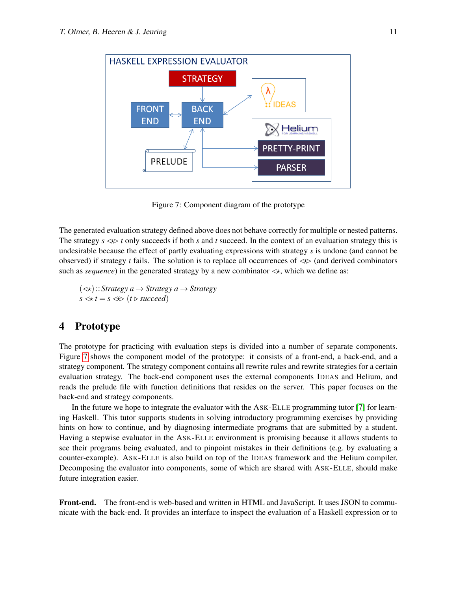

<span id="page-12-1"></span>Figure 7: Component diagram of the prototype

The generated evaluation strategy defined above does not behave correctly for multiple or nested patterns. The strategy  $s \llg t$  only succeeds if both *s* and *t* succeed. In the context of an evaluation strategy this is undesirable because the effect of partly evaluating expressions with strategy *s* is undone (and cannot be observed) if strategy *t* fails. The solution is to replace all occurrences of  $\ll\gg$  (and derived combinators such as *sequence*) in the generated strategy by a new combinator  $\ll_{\star}$ , which we define as:

 $(\llangle)$ :: *Strategy a*  $\rightarrow$  *Strategy a*  $\rightarrow$  *Strategy*  $s \ll t = s \ll (t \triangleright$  *succeed*)

## <span id="page-12-0"></span>4 Prototype

The prototype for practicing with evaluation steps is divided into a number of separate components. Figure [7](#page-12-1) shows the component model of the prototype: it consists of a front-end, a back-end, and a strategy component. The strategy component contains all rewrite rules and rewrite strategies for a certain evaluation strategy. The back-end component uses the external components IDEAS and Helium, and reads the prelude file with function definitions that resides on the server. This paper focuses on the back-end and strategy components.

In the future we hope to integrate the evaluator with the ASK-ELLE programming tutor [\[7\]](#page-16-8) for learning Haskell. This tutor supports students in solving introductory programming exercises by providing hints on how to continue, and by diagnosing intermediate programs that are submitted by a student. Having a stepwise evaluator in the ASK-ELLE environment is promising because it allows students to see their programs being evaluated, and to pinpoint mistakes in their definitions (e.g. by evaluating a counter-example). ASK-ELLE is also build on top of the IDEAS framework and the Helium compiler. Decomposing the evaluator into components, some of which are shared with ASK-ELLE, should make future integration easier.

Front-end. The front-end is web-based and written in HTML and JavaScript. It uses JSON to communicate with the back-end. It provides an interface to inspect the evaluation of a Haskell expression or to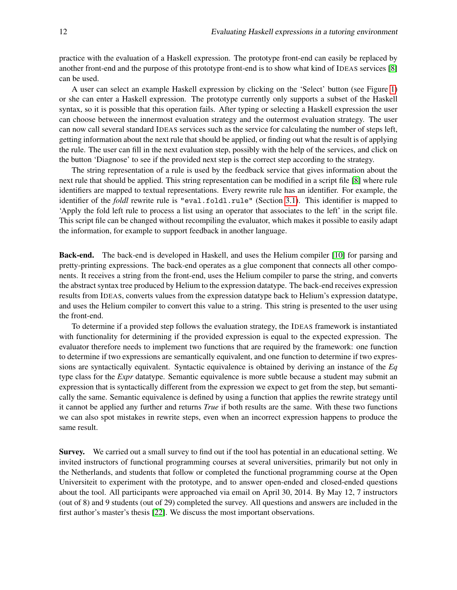practice with the evaluation of a Haskell expression. The prototype front-end can easily be replaced by another front-end and the purpose of this prototype front-end is to show what kind of IDEAS services [\[8\]](#page-16-9) can be used.

A user can select an example Haskell expression by clicking on the 'Select' button (see Figure [1\)](#page-3-0) or she can enter a Haskell expression. The prototype currently only supports a subset of the Haskell syntax, so it is possible that this operation fails. After typing or selecting a Haskell expression the user can choose between the innermost evaluation strategy and the outermost evaluation strategy. The user can now call several standard IDEAS services such as the service for calculating the number of steps left, getting information about the next rule that should be applied, or finding out what the result is of applying the rule. The user can fill in the next evaluation step, possibly with the help of the services, and click on the button 'Diagnose' to see if the provided next step is the correct step according to the strategy.

The string representation of a rule is used by the feedback service that gives information about the next rule that should be applied. This string representation can be modified in a script file [\[8\]](#page-16-9) where rule identifiers are mapped to textual representations. Every rewrite rule has an identifier. For example, the identifier of the *foldl* rewrite rule is "eval.foldl.rule" (Section [3.1\)](#page-6-1). This identifier is mapped to 'Apply the fold left rule to process a list using an operator that associates to the left' in the script file. This script file can be changed without recompiling the evaluator, which makes it possible to easily adapt the information, for example to support feedback in another language.

Back-end. The back-end is developed in Haskell, and uses the Helium compiler [\[10\]](#page-16-10) for parsing and pretty-printing expressions. The back-end operates as a glue component that connects all other components. It receives a string from the front-end, uses the Helium compiler to parse the string, and converts the abstract syntax tree produced by Helium to the expression datatype. The back-end receives expression results from IDEAS, converts values from the expression datatype back to Helium's expression datatype, and uses the Helium compiler to convert this value to a string. This string is presented to the user using the front-end.

To determine if a provided step follows the evaluation strategy, the IDEAS framework is instantiated with functionality for determining if the provided expression is equal to the expected expression. The evaluator therefore needs to implement two functions that are required by the framework: one function to determine if two expressions are semantically equivalent, and one function to determine if two expressions are syntactically equivalent. Syntactic equivalence is obtained by deriving an instance of the *Eq* type class for the *Expr* datatype. Semantic equivalence is more subtle because a student may submit an expression that is syntactically different from the expression we expect to get from the step, but semantically the same. Semantic equivalence is defined by using a function that applies the rewrite strategy until it cannot be applied any further and returns *True* if both results are the same. With these two functions we can also spot mistakes in rewrite steps, even when an incorrect expression happens to produce the same result.

Survey. We carried out a small survey to find out if the tool has potential in an educational setting. We invited instructors of functional programming courses at several universities, primarily but not only in the Netherlands, and students that follow or completed the functional programming course at the Open Universiteit to experiment with the prototype, and to answer open-ended and closed-ended questions about the tool. All participants were approached via email on April 30, 2014. By May 12, 7 instructors (out of 8) and 9 students (out of 29) completed the survey. All questions and answers are included in the first author's master's thesis [\[22\]](#page-17-10). We discuss the most important observations.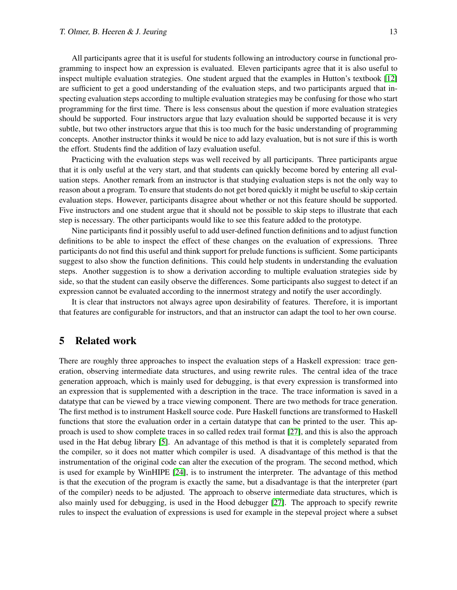All participants agree that it is useful for students following an introductory course in functional programming to inspect how an expression is evaluated. Eleven participants agree that it is also useful to inspect multiple evaluation strategies. One student argued that the examples in Hutton's textbook [\[12\]](#page-16-0) are sufficient to get a good understanding of the evaluation steps, and two participants argued that inspecting evaluation steps according to multiple evaluation strategies may be confusing for those who start programming for the first time. There is less consensus about the question if more evaluation strategies should be supported. Four instructors argue that lazy evaluation should be supported because it is very subtle, but two other instructors argue that this is too much for the basic understanding of programming concepts. Another instructor thinks it would be nice to add lazy evaluation, but is not sure if this is worth the effort. Students find the addition of lazy evaluation useful.

Practicing with the evaluation steps was well received by all participants. Three participants argue that it is only useful at the very start, and that students can quickly become bored by entering all evaluation steps. Another remark from an instructor is that studying evaluation steps is not the only way to reason about a program. To ensure that students do not get bored quickly it might be useful to skip certain evaluation steps. However, participants disagree about whether or not this feature should be supported. Five instructors and one student argue that it should not be possible to skip steps to illustrate that each step is necessary. The other participants would like to see this feature added to the prototype.

Nine participants find it possibly useful to add user-defined function definitions and to adjust function definitions to be able to inspect the effect of these changes on the evaluation of expressions. Three participants do not find this useful and think support for prelude functions is sufficient. Some participants suggest to also show the function definitions. This could help students in understanding the evaluation steps. Another suggestion is to show a derivation according to multiple evaluation strategies side by side, so that the student can easily observe the differences. Some participants also suggest to detect if an expression cannot be evaluated according to the innermost strategy and notify the user accordingly.

It is clear that instructors not always agree upon desirability of features. Therefore, it is important that features are configurable for instructors, and that an instructor can adapt the tool to her own course.

#### <span id="page-14-0"></span>5 Related work

There are roughly three approaches to inspect the evaluation steps of a Haskell expression: trace generation, observing intermediate data structures, and using rewrite rules. The central idea of the trace generation approach, which is mainly used for debugging, is that every expression is transformed into an expression that is supplemented with a description in the trace. The trace information is saved in a datatype that can be viewed by a trace viewing component. There are two methods for trace generation. The first method is to instrument Haskell source code. Pure Haskell functions are transformed to Haskell functions that store the evaluation order in a certain datatype that can be printed to the user. This approach is used to show complete traces in so called redex trail format [\[27\]](#page-17-3), and this is also the approach used in the Hat debug library [\[5\]](#page-16-11). An advantage of this method is that it is completely separated from the compiler, so it does not matter which compiler is used. A disadvantage of this method is that the instrumentation of the original code can alter the execution of the program. The second method, which is used for example by WinHIPE [\[24\]](#page-17-11), is to instrument the interpreter. The advantage of this method is that the execution of the program is exactly the same, but a disadvantage is that the interpreter (part of the compiler) needs to be adjusted. The approach to observe intermediate data structures, which is also mainly used for debugging, is used in the Hood debugger [\[27\]](#page-17-3). The approach to specify rewrite rules to inspect the evaluation of expressions is used for example in the stepeval project where a subset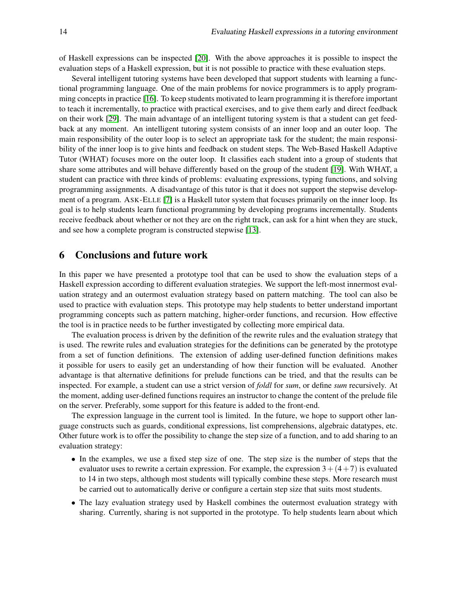of Haskell expressions can be inspected [\[20\]](#page-17-12). With the above approaches it is possible to inspect the evaluation steps of a Haskell expression, but it is not possible to practice with these evaluation steps.

Several intelligent tutoring systems have been developed that support students with learning a functional programming language. One of the main problems for novice programmers is to apply programming concepts in practice [\[16\]](#page-17-13). To keep students motivated to learn programming it is therefore important to teach it incrementally, to practice with practical exercises, and to give them early and direct feedback on their work [\[29\]](#page-17-14). The main advantage of an intelligent tutoring system is that a student can get feedback at any moment. An intelligent tutoring system consists of an inner loop and an outer loop. The main responsibility of the outer loop is to select an appropriate task for the student; the main responsibility of the inner loop is to give hints and feedback on student steps. The Web-Based Haskell Adaptive Tutor (WHAT) focuses more on the outer loop. It classifies each student into a group of students that share some attributes and will behave differently based on the group of the student [\[19\]](#page-17-15). With WHAT, a student can practice with three kinds of problems: evaluating expressions, typing functions, and solving programming assignments. A disadvantage of this tutor is that it does not support the stepwise development of a program. ASK-ELLE [\[7\]](#page-16-8) is a Haskell tutor system that focuses primarily on the inner loop. Its goal is to help students learn functional programming by developing programs incrementally. Students receive feedback about whether or not they are on the right track, can ask for a hint when they are stuck, and see how a complete program is constructed stepwise [\[13\]](#page-16-12).

## <span id="page-15-0"></span>6 Conclusions and future work

In this paper we have presented a prototype tool that can be used to show the evaluation steps of a Haskell expression according to different evaluation strategies. We support the left-most innermost evaluation strategy and an outermost evaluation strategy based on pattern matching. The tool can also be used to practice with evaluation steps. This prototype may help students to better understand important programming concepts such as pattern matching, higher-order functions, and recursion. How effective the tool is in practice needs to be further investigated by collecting more empirical data.

The evaluation process is driven by the definition of the rewrite rules and the evaluation strategy that is used. The rewrite rules and evaluation strategies for the definitions can be generated by the prototype from a set of function definitions. The extension of adding user-defined function definitions makes it possible for users to easily get an understanding of how their function will be evaluated. Another advantage is that alternative definitions for prelude functions can be tried, and that the results can be inspected. For example, a student can use a strict version of *foldl* for *sum*, or define *sum* recursively. At the moment, adding user-defined functions requires an instructor to change the content of the prelude file on the server. Preferably, some support for this feature is added to the front-end.

The expression language in the current tool is limited. In the future, we hope to support other language constructs such as guards, conditional expressions, list comprehensions, algebraic datatypes, etc. Other future work is to offer the possibility to change the step size of a function, and to add sharing to an evaluation strategy:

- In the examples, we use a fixed step size of one. The step size is the number of steps that the evaluator uses to rewrite a certain expression. For example, the expression  $3+(4+7)$  is evaluated to 14 in two steps, although most students will typically combine these steps. More research must be carried out to automatically derive or configure a certain step size that suits most students.
- The lazy evaluation strategy used by Haskell combines the outermost evaluation strategy with sharing. Currently, sharing is not supported in the prototype. To help students learn about which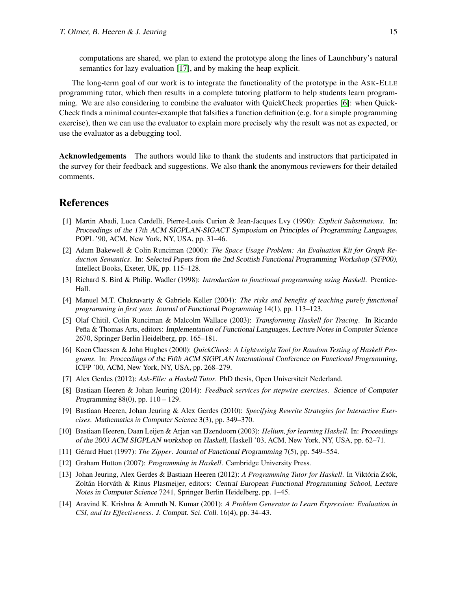computations are shared, we plan to extend the prototype along the lines of Launchbury's natural semantics for lazy evaluation [\[17\]](#page-17-5), and by making the heap explicit.

The long-term goal of our work is to integrate the functionality of the prototype in the ASK-ELLE programming tutor, which then results in a complete tutoring platform to help students learn programming. We are also considering to combine the evaluator with QuickCheck properties [\[6\]](#page-16-13): when Quick-Check finds a minimal counter-example that falsifies a function definition (e.g. for a simple programming exercise), then we can use the evaluator to explain more precisely why the result was not as expected, or use the evaluator as a debugging tool.

Acknowledgements The authors would like to thank the students and instructors that participated in the survey for their feedback and suggestions. We also thank the anonymous reviewers for their detailed comments.

## References

- <span id="page-16-5"></span>[1] Martin Abadi, Luca Cardelli, Pierre-Louis Curien & Jean-Jacques Lvy (1990): *Explicit Substitutions*. In: Proceedings of the 17th ACM SIGPLAN-SIGACT Symposium on Principles of Programming Languages, POPL '90, ACM, New York, NY, USA, pp. 31–46.
- <span id="page-16-3"></span>[2] Adam Bakewell & Colin Runciman (2000): *The Space Usage Problem: An Evaluation Kit for Graph Reduction Semantics*. In: Selected Papers from the 2nd Scottish Functional Programming Workshop (SFP00), Intellect Books, Exeter, UK, pp. 115–128.
- <span id="page-16-1"></span>[3] Richard S. Bird & Philip. Wadler (1998): *Introduction to functional programming using Haskell*. Prentice-Hall.
- <span id="page-16-2"></span>[4] Manuel M.T. Chakravarty & Gabriele Keller (2004): *The risks and benefits of teaching purely functional programming in first year.* Journal of Functional Programming 14(1), pp. 113–123.
- <span id="page-16-11"></span>[5] Olaf Chitil, Colin Runciman & Malcolm Wallace (2003): *Transforming Haskell for Tracing*. In Ricardo Peña & Thomas Arts, editors: Implementation of Functional Languages, Lecture Notes in Computer Science 2670, Springer Berlin Heidelberg, pp. 165–181.
- <span id="page-16-13"></span>[6] Koen Claessen & John Hughes (2000): *QuickCheck: A Lightweight Tool for Random Testing of Haskell Programs*. In: Proceedings of the Fifth ACM SIGPLAN International Conference on Functional Programming, ICFP '00, ACM, New York, NY, USA, pp. 268–279.
- <span id="page-16-8"></span>[7] Alex Gerdes (2012): *Ask-Elle: a Haskell Tutor*. PhD thesis, Open Universiteit Nederland.
- <span id="page-16-9"></span>[8] Bastiaan Heeren & Johan Jeuring (2014): *Feedback services for stepwise exercises*. Science of Computer Programming 88(0), pp. 110 – 129.
- <span id="page-16-6"></span>[9] Bastiaan Heeren, Johan Jeuring & Alex Gerdes (2010): *Specifying Rewrite Strategies for Interactive Exercises*. Mathematics in Computer Science 3(3), pp. 349–370.
- <span id="page-16-10"></span>[10] Bastiaan Heeren, Daan Leijen & Arjan van IJzendoorn (2003): *Helium, for learning Haskell*. In: Proceedings of the 2003 ACM SIGPLAN workshop on Haskell, Haskell '03, ACM, New York, NY, USA, pp. 62–71.
- <span id="page-16-7"></span>[11] Gérard Huet (1997): *The Zipper. Journal of Functional Programming* 7(5), pp. 549–554.
- <span id="page-16-0"></span>[12] Graham Hutton (2007): *Programming in Haskell*. Cambridge University Press.
- <span id="page-16-12"></span>[13] Johan Jeuring, Alex Gerdes & Bastiaan Heeren (2012): *A Programming Tutor for Haskell*. In Viktória Zsók, Zoltán Horváth & Rinus Plasmeijer, editors: Central European Functional Programming School, Lecture Notes in Computer Science 7241, Springer Berlin Heidelberg, pp. 1–45.
- <span id="page-16-4"></span>[14] Aravind K. Krishna & Amruth N. Kumar (2001): *A Problem Generator to Learn Expression: Evaluation in CSI, and Its Effectiveness*. J. Comput. Sci. Coll. 16(4), pp. 34–43.